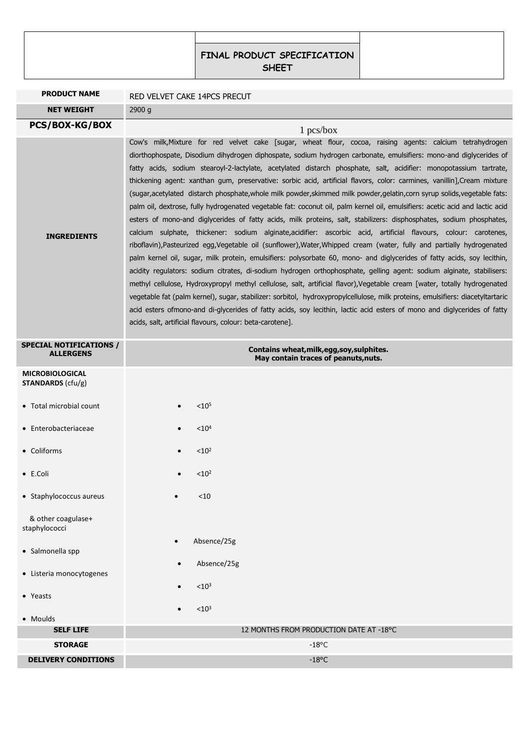| <b>FINAL PRODUCT SPECIFICATION</b><br><b>SHEET</b> |  |
|----------------------------------------------------|--|

| <b>PRODUCT NAME</b>                                |                                                                                                                                                                                                                                                                                                                                                                                                                                                                                                                                                                                                                                                                                                                                                                                                                                                                                                                                                                                                                                                                                                                                                                                                                                                                                                                                                                                                                                                                                                                                                                                                                                                                                                                                                                                                                           |
|----------------------------------------------------|---------------------------------------------------------------------------------------------------------------------------------------------------------------------------------------------------------------------------------------------------------------------------------------------------------------------------------------------------------------------------------------------------------------------------------------------------------------------------------------------------------------------------------------------------------------------------------------------------------------------------------------------------------------------------------------------------------------------------------------------------------------------------------------------------------------------------------------------------------------------------------------------------------------------------------------------------------------------------------------------------------------------------------------------------------------------------------------------------------------------------------------------------------------------------------------------------------------------------------------------------------------------------------------------------------------------------------------------------------------------------------------------------------------------------------------------------------------------------------------------------------------------------------------------------------------------------------------------------------------------------------------------------------------------------------------------------------------------------------------------------------------------------------------------------------------------------|
|                                                    | RED VELVET CAKE 14PCS PRECUT                                                                                                                                                                                                                                                                                                                                                                                                                                                                                                                                                                                                                                                                                                                                                                                                                                                                                                                                                                                                                                                                                                                                                                                                                                                                                                                                                                                                                                                                                                                                                                                                                                                                                                                                                                                              |
| <b>NET WEIGHT</b>                                  | 2900 g                                                                                                                                                                                                                                                                                                                                                                                                                                                                                                                                                                                                                                                                                                                                                                                                                                                                                                                                                                                                                                                                                                                                                                                                                                                                                                                                                                                                                                                                                                                                                                                                                                                                                                                                                                                                                    |
| <b>PCS/BOX-KG/BOX</b>                              | $1$ pcs/box                                                                                                                                                                                                                                                                                                                                                                                                                                                                                                                                                                                                                                                                                                                                                                                                                                                                                                                                                                                                                                                                                                                                                                                                                                                                                                                                                                                                                                                                                                                                                                                                                                                                                                                                                                                                               |
| <b>INGREDIENTS</b>                                 | Cow's milk, Mixture for red velvet cake [sugar, wheat flour, cocoa, raising agents: calcium tetrahydrogen<br>diorthophospate, Disodium dihydrogen diphospate, sodium hydrogen carbonate, emulsifiers: mono-and diglycerides of<br>fatty acids, sodium stearoyl-2-lactylate, acetylated distarch phosphate, salt, acidifier: monopotassium tartrate,<br>thickening agent: xanthan gum, preservative: sorbic acid, artificial flavors, color: carmines, vanillin], Cream mixture<br>(sugar, acetylated distarch phosphate, whole milk powder, skimmed milk powder, gelatin, corn syrup solids, vegetable fats:<br>palm oil, dextrose, fully hydrogenated vegetable fat: coconut oil, palm kernel oil, emulsifiers: acetic acid and lactic acid<br>esters of mono-and diglycerides of fatty acids, milk proteins, salt, stabilizers: disphosphates, sodium phosphates,<br>calcium sulphate, thickener: sodium alginate, acidifier: ascorbic acid, artificial flavours, colour: carotenes,<br>riboflavin), Pasteurized egg, Vegetable oil (sunflower), Water, Whipped cream (water, fully and partially hydrogenated<br>palm kernel oil, sugar, milk protein, emulsifiers: polysorbate 60, mono- and diglycerides of fatty acids, soy lecithin,<br>acidity regulators: sodium citrates, di-sodium hydrogen orthophosphate, gelling agent: sodium alginate, stabilisers:<br>methyl cellulose, Hydroxypropyl methyl cellulose, salt, artificial flavor), Vegetable cream [water, totally hydrogenated<br>vegetable fat (palm kernel), sugar, stabilizer: sorbitol, hydroxypropylcellulose, milk proteins, emulsifiers: diacetyltartaric<br>acid esters ofmono-and di-glycerides of fatty acids, soy lecithin, lactic acid esters of mono and diglycerides of fatty<br>acids, salt, artificial flavours, colour: beta-carotene]. |
| <b>SPECIAL NOTIFICATIONS /</b><br><b>ALLERGENS</b> | Contains wheat, milk, egg, soy, sulphites.<br>May contain traces of peanuts, nuts.                                                                                                                                                                                                                                                                                                                                                                                                                                                                                                                                                                                                                                                                                                                                                                                                                                                                                                                                                                                                                                                                                                                                                                                                                                                                                                                                                                                                                                                                                                                                                                                                                                                                                                                                        |
| <b>MICROBIOLOGICAL</b><br><b>STANDARDS</b> (cfu/g) |                                                                                                                                                                                                                                                                                                                                                                                                                                                                                                                                                                                                                                                                                                                                                                                                                                                                                                                                                                                                                                                                                                                                                                                                                                                                                                                                                                                                                                                                                                                                                                                                                                                                                                                                                                                                                           |
| • Total microbial count                            | $< 10^{5}$                                                                                                                                                                                                                                                                                                                                                                                                                                                                                                                                                                                                                                                                                                                                                                                                                                                                                                                                                                                                                                                                                                                                                                                                                                                                                                                                                                                                                                                                                                                                                                                                                                                                                                                                                                                                                |
| • Enterobacteriaceae                               | < 10 <sup>4</sup>                                                                                                                                                                                                                                                                                                                                                                                                                                                                                                                                                                                                                                                                                                                                                                                                                                                                                                                                                                                                                                                                                                                                                                                                                                                                                                                                                                                                                                                                                                                                                                                                                                                                                                                                                                                                         |
| • Coliforms                                        | < 10 <sup>2</sup>                                                                                                                                                                                                                                                                                                                                                                                                                                                                                                                                                                                                                                                                                                                                                                                                                                                                                                                                                                                                                                                                                                                                                                                                                                                                                                                                                                                                                                                                                                                                                                                                                                                                                                                                                                                                         |
| $\bullet$ E.Coli                                   | < 10 <sup>2</sup>                                                                                                                                                                                                                                                                                                                                                                                                                                                                                                                                                                                                                                                                                                                                                                                                                                                                                                                                                                                                                                                                                                                                                                                                                                                                                                                                                                                                                                                                                                                                                                                                                                                                                                                                                                                                         |
| • Staphylococcus aureus                            | $<$ 10                                                                                                                                                                                                                                                                                                                                                                                                                                                                                                                                                                                                                                                                                                                                                                                                                                                                                                                                                                                                                                                                                                                                                                                                                                                                                                                                                                                                                                                                                                                                                                                                                                                                                                                                                                                                                    |
| & other coagulase+<br>staphylococci                |                                                                                                                                                                                                                                                                                                                                                                                                                                                                                                                                                                                                                                                                                                                                                                                                                                                                                                                                                                                                                                                                                                                                                                                                                                                                                                                                                                                                                                                                                                                                                                                                                                                                                                                                                                                                                           |
| • Salmonella spp                                   | Absence/25g                                                                                                                                                                                                                                                                                                                                                                                                                                                                                                                                                                                                                                                                                                                                                                                                                                                                                                                                                                                                                                                                                                                                                                                                                                                                                                                                                                                                                                                                                                                                                                                                                                                                                                                                                                                                               |
| • Listeria monocytogenes                           | Absence/25g                                                                                                                                                                                                                                                                                                                                                                                                                                                                                                                                                                                                                                                                                                                                                                                                                                                                                                                                                                                                                                                                                                                                                                                                                                                                                                                                                                                                                                                                                                                                                                                                                                                                                                                                                                                                               |
| • Yeasts                                           | < 10 <sup>3</sup>                                                                                                                                                                                                                                                                                                                                                                                                                                                                                                                                                                                                                                                                                                                                                                                                                                                                                                                                                                                                                                                                                                                                                                                                                                                                                                                                                                                                                                                                                                                                                                                                                                                                                                                                                                                                         |
| • Moulds                                           | < 10 <sup>3</sup>                                                                                                                                                                                                                                                                                                                                                                                                                                                                                                                                                                                                                                                                                                                                                                                                                                                                                                                                                                                                                                                                                                                                                                                                                                                                                                                                                                                                                                                                                                                                                                                                                                                                                                                                                                                                         |
| <b>SELF LIFE</b>                                   | 12 MONTHS FROM PRODUCTION DATE AT -18°C                                                                                                                                                                                                                                                                                                                                                                                                                                                                                                                                                                                                                                                                                                                                                                                                                                                                                                                                                                                                                                                                                                                                                                                                                                                                                                                                                                                                                                                                                                                                                                                                                                                                                                                                                                                   |
| <b>STORAGE</b>                                     | $-18^{\circ}$ C                                                                                                                                                                                                                                                                                                                                                                                                                                                                                                                                                                                                                                                                                                                                                                                                                                                                                                                                                                                                                                                                                                                                                                                                                                                                                                                                                                                                                                                                                                                                                                                                                                                                                                                                                                                                           |
| <b>DELIVERY CONDITIONS</b>                         | $-18$ °C                                                                                                                                                                                                                                                                                                                                                                                                                                                                                                                                                                                                                                                                                                                                                                                                                                                                                                                                                                                                                                                                                                                                                                                                                                                                                                                                                                                                                                                                                                                                                                                                                                                                                                                                                                                                                  |
|                                                    |                                                                                                                                                                                                                                                                                                                                                                                                                                                                                                                                                                                                                                                                                                                                                                                                                                                                                                                                                                                                                                                                                                                                                                                                                                                                                                                                                                                                                                                                                                                                                                                                                                                                                                                                                                                                                           |